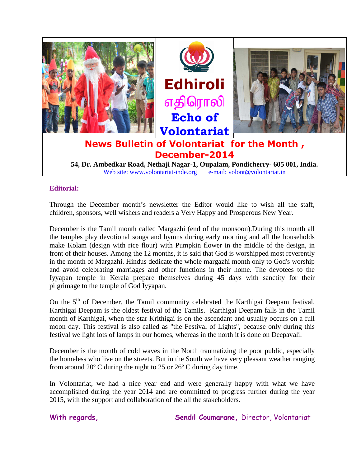

Web site: www.volontariat-inde.org e-mail: volont@volontariat.in

# **Editorial:**

Through the December month's newsletter the Editor would like to wish all the staff, children, sponsors, well wishers and readers a Very Happy and Prosperous New Year.

December is the Tamil month called Margazhi (end of the monsoon).During this month all the temples play devotional songs and hymns during early morning and all the households make Kolam (design with rice flour) with Pumpkin flower in the middle of the design, in front of their houses. Among the 12 months, it is said that God is worshipped most reverently in the month of Margazhi. Hindus dedicate the whole margazhi month only to God's worship and avoid celebrating marriages and other functions in their home. The devotees to the Iyyapan temple in Kerala prepare themselves during 45 days with sanctity for their pilgrimage to the temple of God Iyyapan.

On the 5<sup>th</sup> of December, the Tamil community celebrated the Karthigai Deepam festival. Karthigai Deepam is the oldest festival of the Tamils. Karthigai Deepam falls in the Tamil month of Karthigai, when the star Krithigai is on the ascendant and usually occurs on a full moon day. This festival is also called as "the Festival of Lights", because only during this festival we light lots of lamps in our homes, whereas in the north it is done on Deepavali.

December is the month of cold waves in the North traumatizing the poor public, especially the homeless who live on the streets. But in the South we have very pleasant weather ranging from around 20º C during the night to 25 or 26º C during day time.

In Volontariat, we had a nice year end and were generally happy with what we have accomplished during the year 2014 and are committed to progress further during the year 2015, with the support and collaboration of the all the stakeholders.

With regards, Sendil Coumarane, Director, Volontariat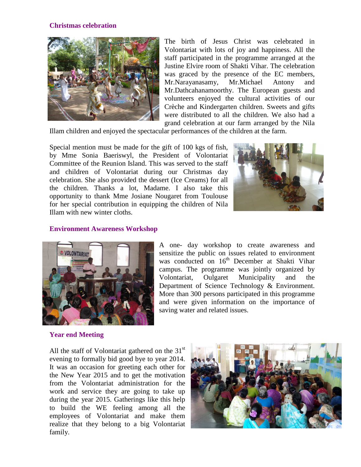### **Christmas celebration**



The birth of Jesus Christ was celebrated in Volontariat with lots of joy and happiness. All the staff participated in the programme arranged at the Justine Elvire room of Shakti Vihar. The celebration was graced by the presence of the EC members, Mr.Narayanasamy, Mr.Michael Antony and Mr.Dathcahanamoorthy. The European guests and volunteers enjoyed the cultural activities of our Crèche and Kindergarten children. Sweets and gifts were distributed to all the children. We also had a grand celebration at our farm arranged by the Nila

Illam children and enjoyed the spectacular performances of the children at the farm.

Special mention must be made for the gift of 100 kgs of fish, by Mme Sonia Baeriswyl, the President of Volontariat Committee of the Reunion Island. This was served to the staff and children of Volontariat during our Christmas day celebration. She also provided the dessert (Ice Creams) for all the children. Thanks a lot, Madame. I also take this opportunity to thank Mme Josiane Nougaret from Toulouse for her special contribution in equipping the children of Nila Illam with new winter cloths.



#### **Environment Awareness Workshop**



A one- day workshop to create awareness and sensitize the public on issues related to environment was conducted on 16<sup>th</sup> December at Shakti Vihar campus. The programme was jointly organized by Volontariat, Oulgaret Municipality and the Department of Science Technology & Environment. More than 300 persons participated in this programme and were given information on the importance of saving water and related issues.

#### **Year end Meeting**

All the staff of Volontariat gathered on the  $31<sup>st</sup>$ evening to formally bid good bye to year 2014. It was an occasion for greeting each other for the New Year 2015 and to get the motivation from the Volontariat administration for the work and service they are going to take up during the year 2015. Gatherings like this help to build the WE feeling among all the employees of Volontariat and make them realize that they belong to a big Volontariat family.